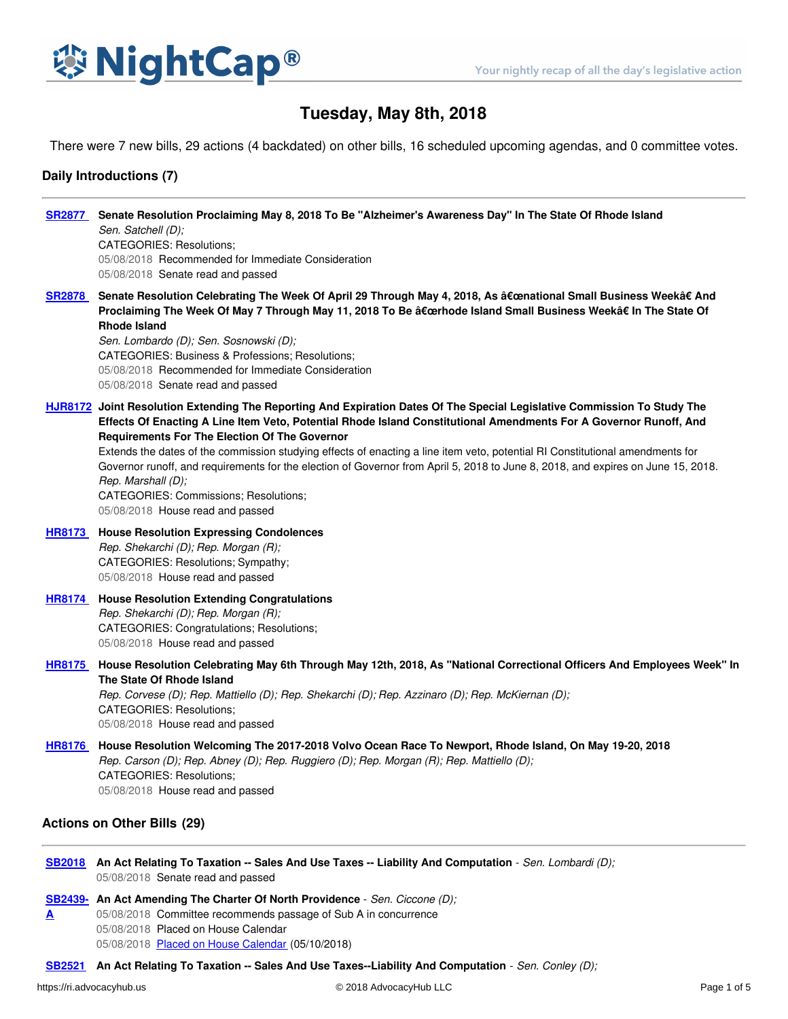

# **Tuesday, May 8th, 2018**

There were 7 new bills, 29 actions (4 backdated) on other bills, 16 scheduled upcoming agendas, and 0 committee votes.

## **Daily Introductions (7)**

| <b>SR2877</b>                      | Senate Resolution Proclaiming May 8, 2018 To Be "Alzheimer's Awareness Day" In The State Of Rhode Island<br>Sen. Satchell (D);<br><b>CATEGORIES: Resolutions:</b><br>05/08/2018 Recommended for Immediate Consideration<br>05/08/2018 Senate read and passed                                                                                                                                                                                                                                                                                                                                                                                                                  |  |
|------------------------------------|-------------------------------------------------------------------------------------------------------------------------------------------------------------------------------------------------------------------------------------------------------------------------------------------------------------------------------------------------------------------------------------------------------------------------------------------------------------------------------------------------------------------------------------------------------------------------------------------------------------------------------------------------------------------------------|--|
| <b>SR2878</b>                      | Senate Resolution Celebrating The Week Of April 29 Through May 4, 2018, As "national Small Business Week†And<br>Proclaiming The Week Of May 7 Through May 11, 2018 To Be "rhode Island Small Business Week†In The State Of<br><b>Rhode Island</b><br>Sen. Lombardo (D); Sen. Sosnowski (D);<br>CATEGORIES: Business & Professions; Resolutions;<br>05/08/2018 Recommended for Immediate Consideration<br>05/08/2018 Senate read and passed                                                                                                                                                                                                                                    |  |
|                                    | HJR8172 Joint Resolution Extending The Reporting And Expiration Dates Of The Special Legislative Commission To Study The<br>Effects Of Enacting A Line Item Veto, Potential Rhode Island Constitutional Amendments For A Governor Runoff, And<br><b>Requirements For The Election Of The Governor</b><br>Extends the dates of the commission studying effects of enacting a line item veto, potential RI Constitutional amendments for<br>Governor runoff, and requirements for the election of Governor from April 5, 2018 to June 8, 2018, and expires on June 15, 2018.<br>Rep. Marshall (D);<br>CATEGORIES: Commissions; Resolutions;<br>05/08/2018 House read and passed |  |
| <b>HR8173</b>                      | <b>House Resolution Expressing Condolences</b><br>Rep. Shekarchi (D); Rep. Morgan (R);<br>CATEGORIES: Resolutions; Sympathy;<br>05/08/2018 House read and passed                                                                                                                                                                                                                                                                                                                                                                                                                                                                                                              |  |
| <b>HR8174</b>                      | <b>House Resolution Extending Congratulations</b><br>Rep. Shekarchi (D); Rep. Morgan (R);<br>CATEGORIES: Congratulations; Resolutions;<br>05/08/2018 House read and passed                                                                                                                                                                                                                                                                                                                                                                                                                                                                                                    |  |
| <b>HR8175</b>                      | House Resolution Celebrating May 6th Through May 12th, 2018, As "National Correctional Officers And Employees Week" In<br>The State Of Rhode Island<br>Rep. Corvese (D); Rep. Mattiello (D); Rep. Shekarchi (D); Rep. Azzinaro (D); Rep. McKiernan (D);<br><b>CATEGORIES: Resolutions:</b><br>05/08/2018 House read and passed                                                                                                                                                                                                                                                                                                                                                |  |
| <b>HR8176</b>                      | House Resolution Welcoming The 2017-2018 Volvo Ocean Race To Newport, Rhode Island, On May 19-20, 2018<br>Rep. Carson (D); Rep. Abney (D); Rep. Ruggiero (D); Rep. Morgan (R); Rep. Mattiello (D);<br><b>CATEGORIES: Resolutions:</b><br>05/08/2018 House read and passed                                                                                                                                                                                                                                                                                                                                                                                                     |  |
| <b>Actions on Other Bills (29)</b> |                                                                                                                                                                                                                                                                                                                                                                                                                                                                                                                                                                                                                                                                               |  |

[SB2018](https://ri.advocacyhub.us/2018/bills/sb2018) An Act Relating To Taxation -- Sales And Use Taxes -- Liability And Computation - Sen. Lombardi (D); 05/08/2018 Senate read and passed

**[SB2439-](https://ri.advocacyhub.us/2018/bills/sb2439) An Act Amending The Charter Of North Providence** - *Sen. Ciccone (D);* **A** 05/08/2018 Committee recommends passage of Sub A in concurrence 05/08/2018 Placed on House Calendar 05/08/2018 Placed on House [Calendar](http://status.rilin.state.ri.us/documents/calendar-14558.pdf) (05/10/2018)

**[SB2521](https://ri.advocacyhub.us/2018/bills/sb2521) An Act Relating To Taxation -- Sales And Use Taxes--Liability And Computation** - *Sen. Conley (D);*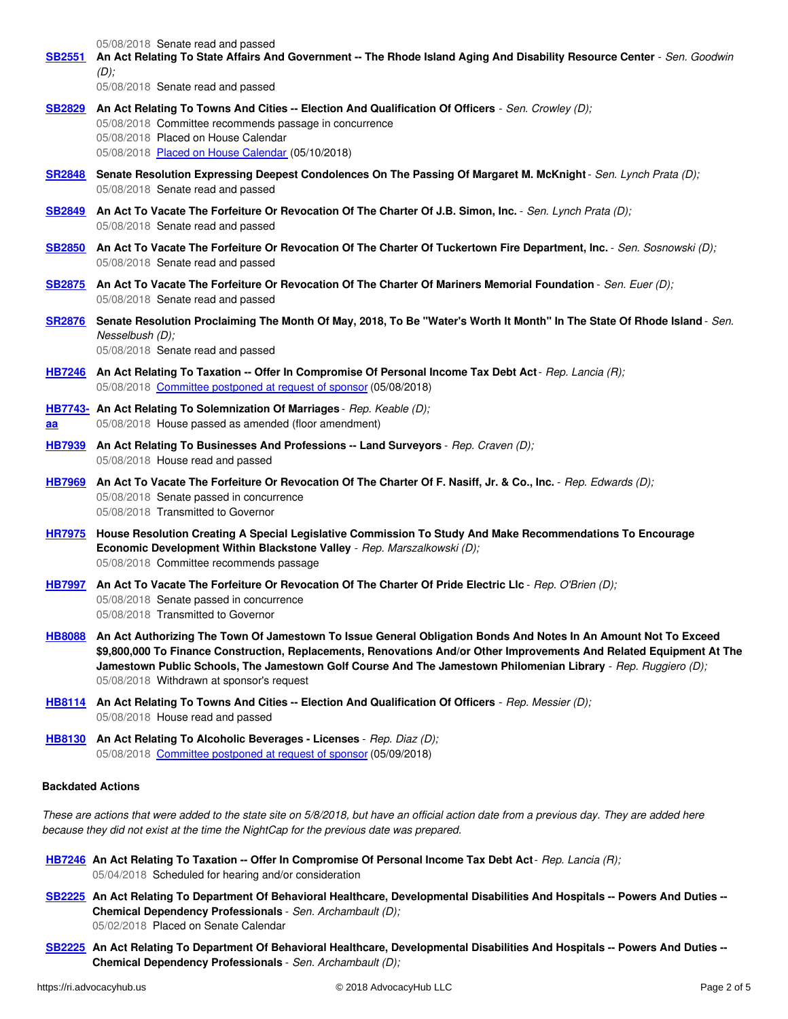05/08/2018 Senate read and passed [SB2551](https://ri.advocacyhub.us/2018/bills/sb2551) An Act Relating To State Affairs And Government -- The Rhode Island Aging And Disability Resource Center - Sen. Goodwin *(D);* 05/08/2018 Senate read and passed **[SB2829](https://ri.advocacyhub.us/2018/bills/sb2829) An Act Relating To Towns And Cities -- Election And Qualification Of Officers** - *Sen. Crowley (D);* 05/08/2018 Committee recommends passage in concurrence 05/08/2018 Placed on House Calendar 05/08/2018 Placed on House [Calendar](http://status.rilin.state.ri.us/documents/calendar-14558.pdf) (05/10/2018) [SR2848](https://ri.advocacyhub.us/2018/bills/sr2848) Senate Resolution Expressing Deepest Condolences On The Passing Of Margaret M. McKnight - Sen. Lynch Prata (D); 05/08/2018 Senate read and passed [SB2849](https://ri.advocacyhub.us/2018/bills/sb2849) An Act To Vacate The Forfeiture Or Revocation Of The Charter Of J.B. Simon, Inc. - Sen. Lynch Prata (D); 05/08/2018 Senate read and passed [SB2850](https://ri.advocacyhub.us/2018/bills/sb2850) An Act To Vacate The Forfeiture Or Revocation Of The Charter Of Tuckertown Fire Department, Inc. - Sen. Sosnowski (D); 05/08/2018 Senate read and passed [SB2875](https://ri.advocacyhub.us/2018/bills/sb2875) An Act To Vacate The Forfeiture Or Revocation Of The Charter Of Mariners Memorial Foundation - Sen. Euer (D); 05/08/2018 Senate read and passed [SR2876](https://ri.advocacyhub.us/2018/bills/sr2876) Senate Resolution Proclaiming The Month Of May, 2018, To Be "Water's Worth It Month" In The State Of Rhode Island - Sen. *Nesselbush (D);* 05/08/2018 Senate read and passed [HB7246](https://ri.advocacyhub.us/2018/bills/hb7246) An Act Relating To Taxation -- Offer In Compromise Of Personal Income Tax Debt Act - Rep. Lancia (R); 05/08/2018 [Committee](http://status.rilin.state.ri.us/documents/agenda-14537.pdf) postponed at request of sponsor (05/08/2018) **[HB7743-](https://ri.advocacyhub.us/2018/bills/hb7743) An Act Relating To Solemnization Of Marriages** - *Rep. Keable (D);* **aa** 05/08/2018 House passed as amended (floor amendment) **[HB7939](https://ri.advocacyhub.us/2018/bills/hb7939) An Act Relating To Businesses And Professions -- Land Surveyors** - *Rep. Craven (D);* 05/08/2018 House read and passed [HB7969](https://ri.advocacyhub.us/2018/bills/hb7969) An Act To Vacate The Forfeiture Or Revocation Of The Charter Of F. Nasiff, Jr. & Co., Inc. - Rep. Edwards (D); 05/08/2018 Senate passed in concurrence 05/08/2018 Transmitted to Governor **[HR7975](https://ri.advocacyhub.us/2018/bills/hr7975) House Resolution Creating A Special Legislative Commission To Study And Make Recommendations To Encourage Economic Development Within Blackstone Valley** - *Rep. Marszalkowski (D);* 05/08/2018 Committee recommends passage [HB7997](https://ri.advocacyhub.us/2018/bills/hb7997) An Act To Vacate The Forfeiture Or Revocation Of The Charter Of Pride Electric Llc - Rep. O'Brien (D); 05/08/2018 Senate passed in concurrence 05/08/2018 Transmitted to Governor [HB8088](https://ri.advocacyhub.us/2018/bills/hb8088) An Act Authorizing The Town Of Jamestown To Issue General Obligation Bonds And Notes In An Amount Not To Exceed **\$9,800,000 To Finance Construction, Replacements, Renovations And/or Other Improvements And Related Equipment At The Jamestown Public Schools, The Jamestown Golf Course And The Jamestown Philomenian Library** - *Rep. Ruggiero (D);*

- **[HB8114](https://ri.advocacyhub.us/2018/bills/hb8114) An Act Relating To Towns And Cities -- Election And Qualification Of Officers** *Rep. Messier (D);* 05/08/2018 House read and passed
- **[HB8130](https://ri.advocacyhub.us/2018/bills/hb8130) An Act Relating To Alcoholic Beverages - Licenses** *Rep. Diaz (D);* 05/08/2018 [Committee](http://status.rilin.state.ri.us/documents/agenda-14548.pdf) postponed at request of sponsor (05/09/2018)

05/08/2018 Withdrawn at sponsor's request

### **Backdated Actions**

These are actions that were added to the state site on 5/8/2018, but have an official action date from a previous day. They are added here *because they did not exist at the time the NightCap for the previous date was prepared.*

- [HB7246](https://ri.advocacyhub.us/2018/bills/hb7246) An Act Relating To Taxation -- Offer In Compromise Of Personal Income Tax Debt Act Rep. Lancia (R); 05/04/2018 Scheduled for hearing and/or consideration
- [SB2225](https://ri.advocacyhub.us/2018/bills/sb2225) An Act Relating To Department Of Behavioral Healthcare, Developmental Disabilities And Hospitals -- Powers And Duties --**Chemical Dependency Professionals** - *Sen. Archambault (D);* 05/02/2018 Placed on Senate Calendar
- [SB2225](https://ri.advocacyhub.us/2018/bills/sb2225) An Act Relating To Department Of Behavioral Healthcare, Developmental Disabilities And Hospitals -- Powers And Duties --**Chemical Dependency Professionals** - *Sen. Archambault (D);*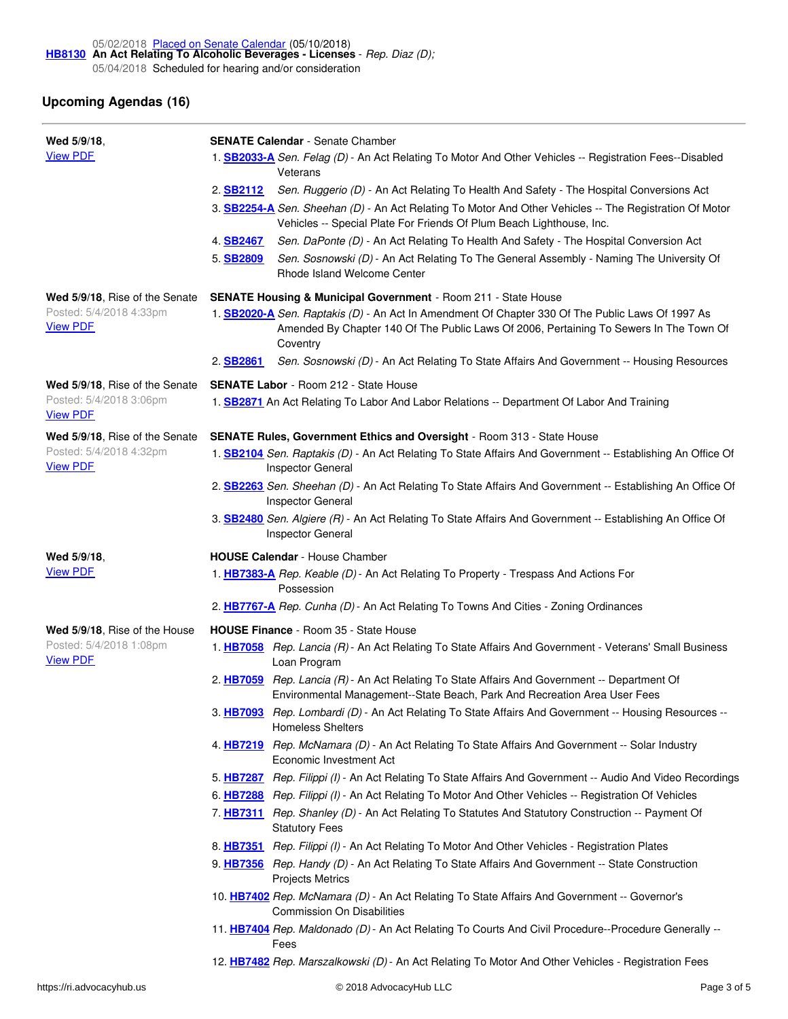## **Upcoming Agendas (16)**

| Wed 5/9/18,                                | <b>SENATE Calendar</b> - Senate Chamber                                                                                                                                                                         |
|--------------------------------------------|-----------------------------------------------------------------------------------------------------------------------------------------------------------------------------------------------------------------|
| <b>View PDF</b>                            | 1. <b>SB2033-A</b> Sen. Felag (D) - An Act Relating To Motor And Other Vehicles -- Registration Fees--Disabled<br>Veterans                                                                                      |
|                                            | 2. SB2112<br>Sen. Ruggerio (D) - An Act Relating To Health And Safety - The Hospital Conversions Act<br>3. SB2254-A Sen. Sheehan (D) - An Act Relating To Motor And Other Vehicles -- The Registration Of Motor |
|                                            | Vehicles -- Special Plate For Friends Of Plum Beach Lighthouse, Inc.<br>Sen. DaPonte (D) - An Act Relating To Health And Safety - The Hospital Conversion Act<br>4. SB2467                                      |
|                                            | Sen. Sosnowski (D) - An Act Relating To The General Assembly - Naming The University Of<br>5. SB2809<br>Rhode Island Welcome Center                                                                             |
| Wed 5/9/18, Rise of the Senate             | <b>SENATE Housing &amp; Municipal Government - Room 211 - State House</b>                                                                                                                                       |
| Posted: 5/4/2018 4:33pm<br><b>View PDF</b> | 1. SB2020-A Sen. Raptakis (D) - An Act In Amendment Of Chapter 330 Of The Public Laws Of 1997 As<br>Amended By Chapter 140 Of The Public Laws Of 2006, Pertaining To Sewers In The Town Of<br>Coventry          |
|                                            | 2. SB2861<br>Sen. Sosnowski (D) - An Act Relating To State Affairs And Government -- Housing Resources                                                                                                          |
| Wed 5/9/18, Rise of the Senate             | <b>SENATE Labor</b> - Room 212 - State House                                                                                                                                                                    |
| Posted: 5/4/2018 3:06pm<br><b>View PDF</b> | 1. <b>SB2871</b> An Act Relating To Labor And Labor Relations -- Department Of Labor And Training                                                                                                               |
| Wed 5/9/18, Rise of the Senate             | <b>SENATE Rules, Government Ethics and Oversight - Room 313 - State House</b>                                                                                                                                   |
| Posted: 5/4/2018 4:32pm<br><b>View PDF</b> | 1. <b>SB2104</b> Sen. Raptakis (D) - An Act Relating To State Affairs And Government -- Establishing An Office Of<br><b>Inspector General</b>                                                                   |
|                                            | 2. <b>SB2263</b> Sen. Sheehan (D) - An Act Relating To State Affairs And Government -- Establishing An Office Of<br><b>Inspector General</b>                                                                    |
|                                            | 3. <b>SB2480</b> Sen. Algiere (R) - An Act Relating To State Affairs And Government -- Establishing An Office Of<br><b>Inspector General</b>                                                                    |
| Wed 5/9/18.                                | <b>HOUSE Calendar</b> - House Chamber                                                                                                                                                                           |
| <b>View PDF</b>                            | 1. HB7383-A Rep. Keable (D) - An Act Relating To Property - Trespass And Actions For<br>Possession                                                                                                              |
|                                            | 2. HB7767-A Rep. Cunha (D) - An Act Relating To Towns And Cities - Zoning Ordinances                                                                                                                            |
| Wed 5/9/18, Rise of the House              | <b>HOUSE Finance</b> - Room 35 - State House                                                                                                                                                                    |
| Posted: 5/4/2018 1:08pm                    |                                                                                                                                                                                                                 |
| <b>View PDF</b>                            | 1. HB7058 Rep. Lancia (R) - An Act Relating To State Affairs And Government - Veterans' Small Business<br>Loan Program                                                                                          |
|                                            | Rep. Lancia (R) - An Act Relating To State Affairs And Government -- Department Of<br>2. HB7059<br>Environmental Management--State Beach, Park And Recreation Area User Fees                                    |
|                                            | 3. HB7093 Rep. Lombardi (D) - An Act Relating To State Affairs And Government -- Housing Resources --<br><b>Homeless Shelters</b>                                                                               |
|                                            | 4. HB7219 Rep. McNamara (D) - An Act Relating To State Affairs And Government -- Solar Industry<br>Economic Investment Act                                                                                      |
|                                            | 5. HB7287 Rep. Filippi (I) - An Act Relating To State Affairs And Government -- Audio And Video Recordings                                                                                                      |
|                                            | 6. HB7288 Rep. Filippi (I) - An Act Relating To Motor And Other Vehicles -- Registration Of Vehicles                                                                                                            |
|                                            | 7. HB7311 Rep. Shanley (D) - An Act Relating To Statutes And Statutory Construction -- Payment Of<br><b>Statutory Fees</b>                                                                                      |
|                                            | 8. HB7351 Rep. Filippi (I) - An Act Relating To Motor And Other Vehicles - Registration Plates                                                                                                                  |
|                                            | 9. HB7356 Rep. Handy (D) - An Act Relating To State Affairs And Government -- State Construction<br><b>Projects Metrics</b>                                                                                     |
|                                            | 10. HB7402 Rep. McNamara (D) - An Act Relating To State Affairs And Government -- Governor's<br><b>Commission On Disabilities</b>                                                                               |
|                                            | 11. HB7404 Rep. Maldonado (D) - An Act Relating To Courts And Civil Procedure--Procedure Generally --<br>Fees                                                                                                   |

12. **[HB7482](https://ri.advocacyhub.us/2018/bills/hb7482)** *Rep. Marszalkowski (D)* - An Act Relating To Motor And Other Vehicles - Registration Fees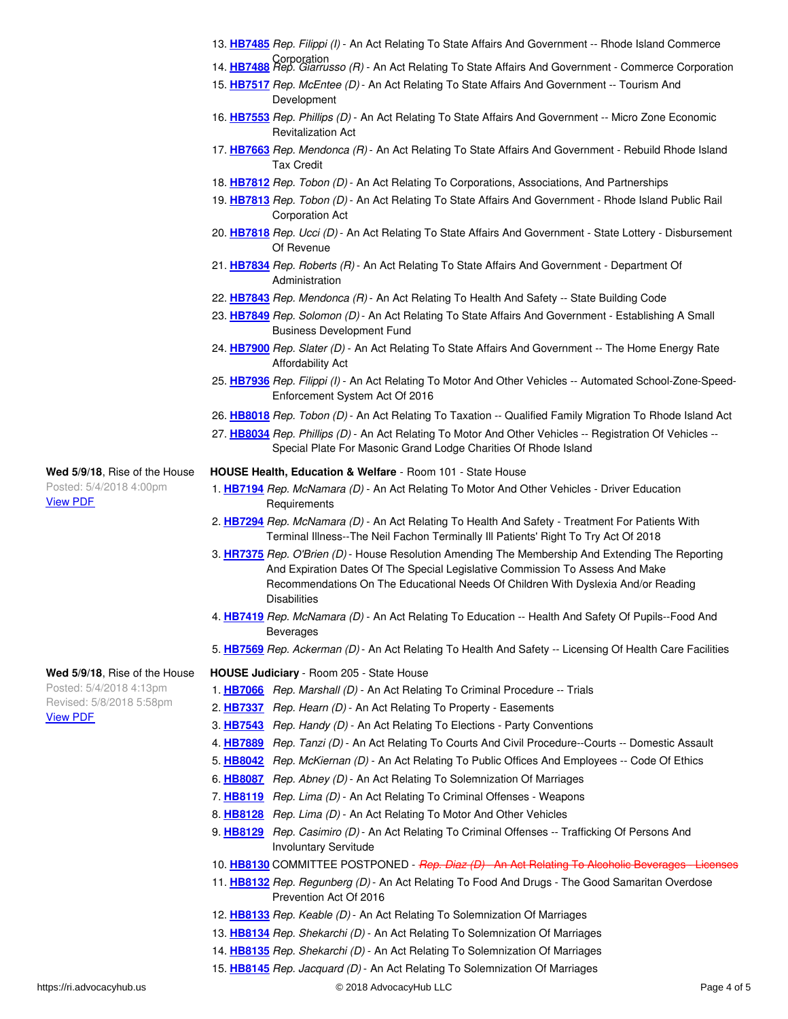- 13. **[HB7485](https://ri.advocacyhub.us/2018/bills/hb7485)** *Rep. Filippi (I)* An Act Relating To State Affairs And Government -- Rhode Island Commerce
- Corporation 14. **[HB7488](https://ri.advocacyhub.us/2018/bills/hb7488)** *Rep. Giarrusso (R)* An Act Relating To State Affairs And Government Commerce Corporation
- 15. **[HB7517](https://ri.advocacyhub.us/2018/bills/hb7517)** *Rep. McEntee (D)* An Act Relating To State Affairs And Government -- Tourism And Development
- 16. **[HB7553](https://ri.advocacyhub.us/2018/bills/hb7553)** *Rep. Phillips (D)* An Act Relating To State Affairs And Government -- Micro Zone Economic Revitalization Act
- 17. **[HB7663](https://ri.advocacyhub.us/2018/bills/hb7663)** *Rep. Mendonca (R)* An Act Relating To State Affairs And Government Rebuild Rhode Island Tax Credit
- 18. **[HB7812](https://ri.advocacyhub.us/2018/bills/hb7812)** *Rep. Tobon (D)* An Act Relating To Corporations, Associations, And Partnerships
- 19. **[HB7813](https://ri.advocacyhub.us/2018/bills/hb7813)** *Rep. Tobon (D)* An Act Relating To State Affairs And Government Rhode Island Public Rail Corporation Act
- 20. **[HB7818](https://ri.advocacyhub.us/2018/bills/hb7818)** *Rep. Ucci (D)* An Act Relating To State Affairs And Government State Lottery Disbursement Of Revenue
- 21. **[HB7834](https://ri.advocacyhub.us/2018/bills/hb7834)** *Rep. Roberts (R)* An Act Relating To State Affairs And Government Department Of Administration
- 22. **[HB7843](https://ri.advocacyhub.us/2018/bills/hb7843)** *Rep. Mendonca (R)* An Act Relating To Health And Safety -- State Building Code
- 23. **[HB7849](https://ri.advocacyhub.us/2018/bills/hb7849)** *Rep. Solomon (D)* An Act Relating To State Affairs And Government Establishing A Small Business Development Fund
- 24. **[HB7900](https://ri.advocacyhub.us/2018/bills/hb7900)** *Rep. Slater (D)* An Act Relating To State Affairs And Government -- The Home Energy Rate Affordability Act
- 25. **[HB7936](https://ri.advocacyhub.us/2018/bills/hb7936)** *Rep. Filippi (I)* An Act Relating To Motor And Other Vehicles -- Automated School-Zone-Speed-Enforcement System Act Of 2016
- 26. **[HB8018](https://ri.advocacyhub.us/2018/bills/hb8018)** *Rep. Tobon (D)* An Act Relating To Taxation -- Qualified Family Migration To Rhode Island Act
- 27. **[HB8034](https://ri.advocacyhub.us/2018/bills/hb8034)** *Rep. Phillips (D)* An Act Relating To Motor And Other Vehicles -- Registration Of Vehicles -- Special Plate For Masonic Grand Lodge Charities Of Rhode Island
- **HOUSE Health, Education & Welfare** Room 101 State House
- 1. **[HB7194](https://ri.advocacyhub.us/2018/bills/hb7194)** *Rep. McNamara (D)* An Act Relating To Motor And Other Vehicles Driver Education **Requirements**
- 2. **[HB7294](https://ri.advocacyhub.us/2018/bills/hb7294)** *Rep. McNamara (D)* An Act Relating To Health And Safety Treatment For Patients With Terminal Illness--The Neil Fachon Terminally Ill Patients' Right To Try Act Of 2018
- 3. **[HR7375](https://ri.advocacyhub.us/2018/bills/hr7375)** *Rep. O'Brien (D)* House Resolution Amending The Membership And Extending The Reporting And Expiration Dates Of The Special Legislative Commission To Assess And Make Recommendations On The Educational Needs Of Children With Dyslexia And/or Reading **Disabilities**
- 4. **[HB7419](https://ri.advocacyhub.us/2018/bills/hb7419)** *Rep. McNamara (D)* An Act Relating To Education -- Health And Safety Of Pupils--Food And Beverages
- 5. **[HB7569](https://ri.advocacyhub.us/2018/bills/hb7569)** *Rep. Ackerman (D)* An Act Relating To Health And Safety -- Licensing Of Health Care Facilities

#### **Wed 5/9/18**, Rise of the House **HOUSE Judiciary** - Room 205 - State House

- 1. **[HB7066](https://ri.advocacyhub.us/2018/bills/hb7066)** *Rep. Marshall (D)* An Act Relating To Criminal Procedure -- Trials
- 2. **[HB7337](https://ri.advocacyhub.us/2018/bills/hb7337)** *Rep. Hearn (D)* An Act Relating To Property Easements
- 3. **[HB7543](https://ri.advocacyhub.us/2018/bills/hb7543)** *Rep. Handy (D)* An Act Relating To Elections Party Conventions
- 4. **[HB7889](https://ri.advocacyhub.us/2018/bills/hb7889)** *Rep. Tanzi (D)* An Act Relating To Courts And Civil Procedure--Courts -- Domestic Assault
- 5. **[HB8042](https://ri.advocacyhub.us/2018/bills/hb8042)** *Rep. McKiernan (D)* An Act Relating To Public Offices And Employees -- Code Of Ethics
	- 6. **[HB8087](https://ri.advocacyhub.us/2018/bills/hb8087)** *Rep. Abney (D)* An Act Relating To Solemnization Of Marriages
	- 7. **[HB8119](https://ri.advocacyhub.us/2018/bills/hb8119)** *Rep. Lima (D)* An Act Relating To Criminal Offenses Weapons
	- 8. **[HB8128](https://ri.advocacyhub.us/2018/bills/hb8128)** *Rep. Lima (D)* An Act Relating To Motor And Other Vehicles
	- 9. **[HB8129](https://ri.advocacyhub.us/2018/bills/hb8129)** *Rep. Casimiro (D)* An Act Relating To Criminal Offenses -- Trafficking Of Persons And Involuntary Servitude
	- 10. **[HB8130](https://ri.advocacyhub.us/2018/bills/hb8130)** COMMITTEE POSTPONED *Rep. Diaz (D)* An Act Relating To Alcoholic Beverage
	- 11. **[HB8132](https://ri.advocacyhub.us/2018/bills/hb8132)** *Rep. Regunberg (D)* An Act Relating To Food And Drugs The Good Samaritan Overdose Prevention Act Of 2016
	- 12. **[HB8133](https://ri.advocacyhub.us/2018/bills/hb8133)** *Rep. Keable (D)* An Act Relating To Solemnization Of Marriages
	- 13. **[HB8134](https://ri.advocacyhub.us/2018/bills/hb8134)** *Rep. Shekarchi (D)* An Act Relating To Solemnization Of Marriages
- 14. **[HB8135](https://ri.advocacyhub.us/2018/bills/hb8135)** *Rep. Shekarchi (D)* An Act Relating To Solemnization Of Marriages
- 15. **[HB8145](https://ri.advocacyhub.us/2018/bills/hb8145)** *Rep. Jacquard (D)* An Act Relating To Solemnization Of Marriages

**Wed 5/9/18**, Rise of the House Posted: 5/4/2018 4:00pm

Posted: 5/4/2018 4:13pm Revised: 5/8/2018 5:58pm

[View](http://status.rilin.state.ri.us/documents/agenda-14548.pdf) PDF

[View](http://status.rilin.state.ri.us/documents/agenda-14547.pdf) PDF

https://ri.advocacyhub.us Page 4 of 5 and 5 and 5 and 5 and 7 and 7 and 7 and 7 and 7 and 7 and 7 and 7 and 7 and 7 and 7 and 7 and 7 and 7 and 7 and 7 and 7 and 7 and 7 and 7 and 7 and 7 and 7 and 7 and 7 and 7 and 7 and